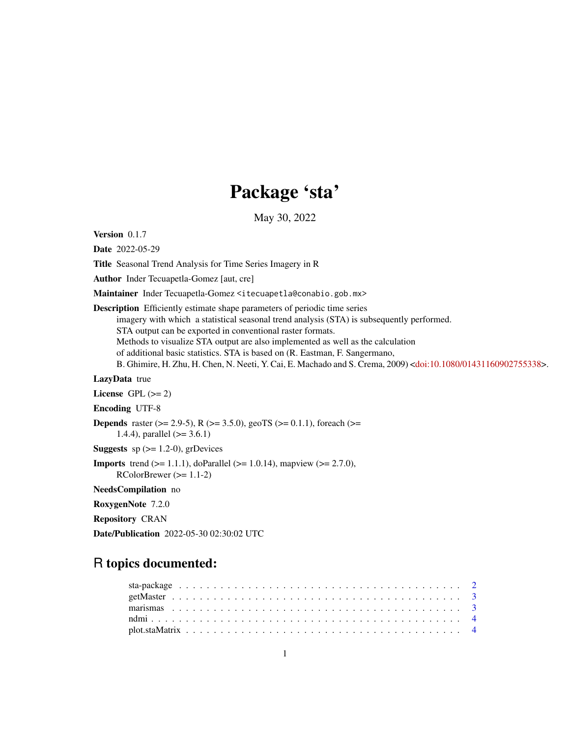## Package 'sta'

May 30, 2022

<span id="page-0-0"></span>Version 0.1.7

Date 2022-05-29

Title Seasonal Trend Analysis for Time Series Imagery in R

Author Inder Tecuapetla-Gomez [aut, cre]

Maintainer Inder Tecuapetla-Gomez <itecuapetla@conabio.gob.mx>

Description Efficiently estimate shape parameters of periodic time series

imagery with which a statistical seasonal trend analysis (STA) is subsequently performed.

STA output can be exported in conventional raster formats.

Methods to visualize STA output are also implemented as well as the calculation

of additional basic statistics. STA is based on (R. Eastman, F. Sangermano,

B. Ghimire, H. Zhu, H. Chen, N. Neeti, Y. Cai, E. Machado and S. Crema, 2009) [<doi:10.1080/01431160902755338>](https://doi.org/10.1080/01431160902755338).

#### LazyData true

License GPL  $(>= 2)$ 

Encoding UTF-8

**Depends** raster ( $>= 2.9-5$ ), R ( $>= 3.5.0$ ), geoTS ( $>= 0.1.1$ ), foreach ( $>=$ 1.4.4), parallel  $(>= 3.6.1)$ 

**Suggests** sp  $(>= 1.2-0)$ , grDevices

**Imports** trend ( $>= 1.1.1$ ), doParallel ( $>= 1.0.14$ ), mapview ( $>= 2.7.0$ ), RColorBrewer (>= 1.1-2)

NeedsCompilation no

RoxygenNote 7.2.0

Repository CRAN

Date/Publication 2022-05-30 02:30:02 UTC

## R topics documented: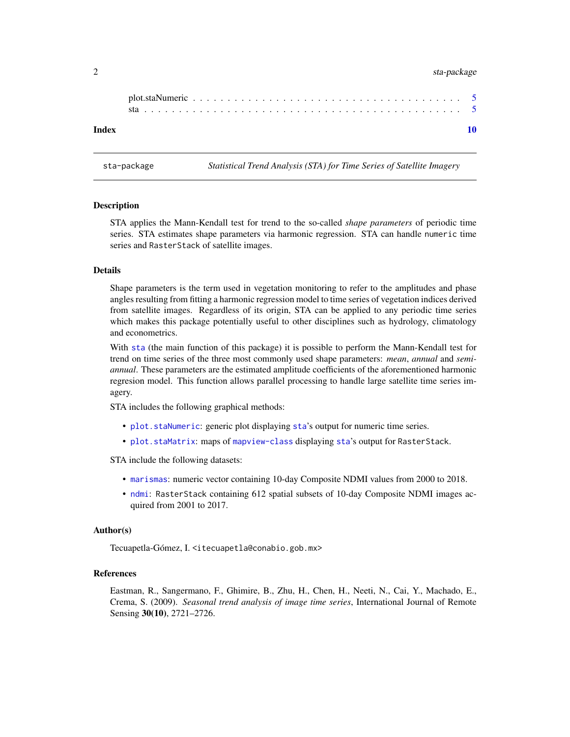#### <span id="page-1-0"></span>2 sta-package sta-package

| Index |  |  |  |  |  |  |  |  |  |  |  |  |  |  |  |  |  |  |  |  |
|-------|--|--|--|--|--|--|--|--|--|--|--|--|--|--|--|--|--|--|--|--|

sta-package *Statistical Trend Analysis (STA) for Time Series of Satellite Imagery*

#### Description

STA applies the Mann-Kendall test for trend to the so-called *shape parameters* of periodic time series. STA estimates shape parameters via harmonic regression. STA can handle numeric time series and RasterStack of satellite images.

#### Details

Shape parameters is the term used in vegetation monitoring to refer to the amplitudes and phase angles resulting from fitting a harmonic regression model to time series of vegetation indices derived from satellite images. Regardless of its origin, STA can be applied to any periodic time series which makes this package potentially useful to other disciplines such as hydrology, climatology and econometrics.

With [sta](#page-4-1) (the main function of this package) it is possible to perform the Mann-Kendall test for trend on time series of the three most commonly used shape parameters: *mean*, *annual* and *semiannual*. These parameters are the estimated amplitude coefficients of the aforementioned harmonic regresion model. This function allows parallel processing to handle large satellite time series imagery.

STA includes the following graphical methods:

- [plot.staNumeric](#page-4-2): generic plot displaying [sta](#page-4-1)'s output for numeric time series.
- [plot.staMatrix](#page-3-1): maps of [mapview-class](#page-0-0) displaying [sta](#page-4-1)'s output for RasterStack.

STA include the following datasets:

- [marismas](#page-2-1): numeric vector containing 10-day Composite NDMI values from 2000 to 2018.
- [ndmi](#page-3-2): RasterStack containing 612 spatial subsets of 10-day Composite NDMI images acquired from 2001 to 2017.

#### Author(s)

Tecuapetla-Gómez, I. <itecuapetla@conabio.gob.mx>

#### References

Eastman, R., Sangermano, F., Ghimire, B., Zhu, H., Chen, H., Neeti, N., Cai, Y., Machado, E., Crema, S. (2009). *Seasonal trend analysis of image time series*, International Journal of Remote Sensing 30(10), 2721–2726.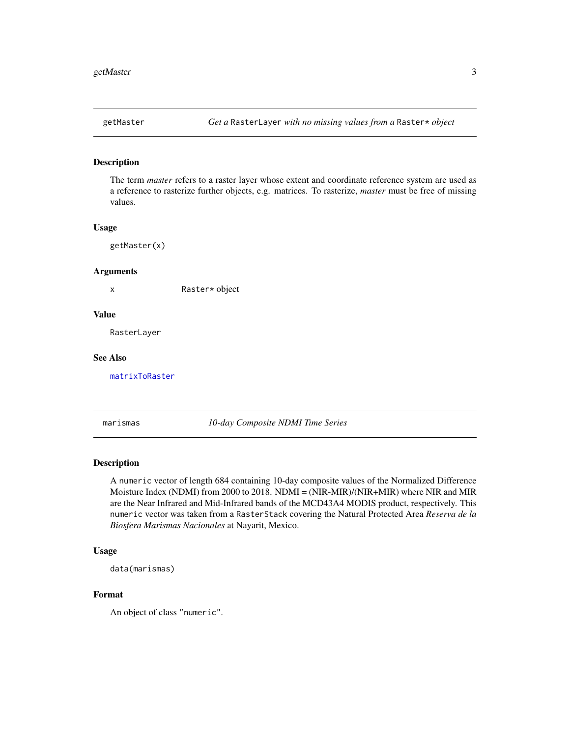<span id="page-2-2"></span><span id="page-2-0"></span>

#### Description

The term *master* refers to a raster layer whose extent and coordinate reference system are used as a reference to rasterize further objects, e.g. matrices. To rasterize, *master* must be free of missing values.

#### Usage

getMaster(x)

#### Arguments

x Raster\* object

#### Value

RasterLayer

#### See Also

[matrixToRaster](#page-0-0)

<span id="page-2-1"></span>marismas *10-day Composite NDMI Time Series*

#### Description

A numeric vector of length 684 containing 10-day composite values of the Normalized Difference Moisture Index (NDMI) from 2000 to 2018. NDMI = (NIR-MIR)/(NIR+MIR) where NIR and MIR are the Near Infrared and Mid-Infrared bands of the MCD43A4 MODIS product, respectively. This numeric vector was taken from a RasterStack covering the Natural Protected Area *Reserva de la Biosfera Marismas Nacionales* at Nayarit, Mexico.

#### Usage

```
data(marismas)
```
#### Format

An object of class "numeric".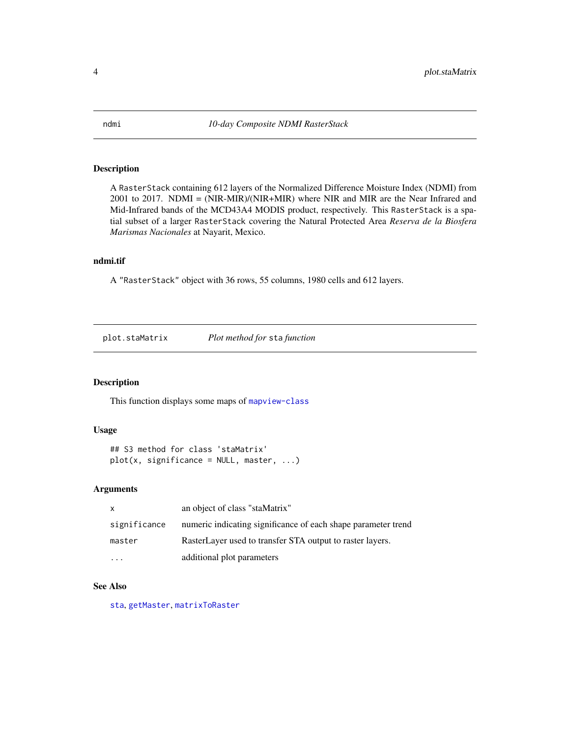<span id="page-3-2"></span><span id="page-3-0"></span>

#### Description

A RasterStack containing 612 layers of the Normalized Difference Moisture Index (NDMI) from 2001 to 2017. NDMI = (NIR-MIR)/(NIR+MIR) where NIR and MIR are the Near Infrared and Mid-Infrared bands of the MCD43A4 MODIS product, respectively. This RasterStack is a spatial subset of a larger RasterStack covering the Natural Protected Area *Reserva de la Biosfera Marismas Nacionales* at Nayarit, Mexico.

#### ndmi.tif

A "RasterStack" object with 36 rows, 55 columns, 1980 cells and 612 layers.

<span id="page-3-1"></span>plot.staMatrix *Plot method for* sta *function*

#### Description

This function displays some maps of [mapview-class](#page-0-0)

#### Usage

```
## S3 method for class 'staMatrix'
plot(x, significance = NULL, master, ...)
```
#### Arguments

| X            | an object of class "staMatrix"                                |
|--------------|---------------------------------------------------------------|
| significance | numeric indicating significance of each shape parameter trend |
| master       | RasterLayer used to transfer STA output to raster layers.     |
|              | additional plot parameters                                    |

#### See Also

[sta](#page-4-1), [getMaster](#page-2-2), [matrixToRaster](#page-0-0)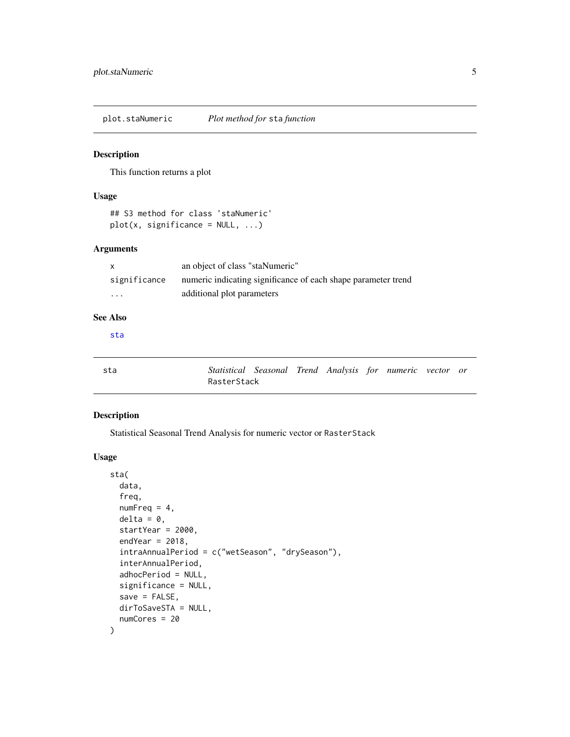<span id="page-4-2"></span><span id="page-4-0"></span>plot.staNumeric *Plot method for* sta *function*

#### Description

This function returns a plot

#### Usage

```
## S3 method for class 'staNumeric'
plot(x, significance = NULL, ...)
```
#### Arguments

| X            | an object of class "staNumeric"                               |
|--------------|---------------------------------------------------------------|
| significance | numeric indicating significance of each shape parameter trend |
| $\cdot$      | additional plot parameters                                    |

### See Also

[sta](#page-4-1)

<span id="page-4-1"></span>

| sta | Statistical Seasonal Trend Analysis for numeric vector or |  |  |  |  |
|-----|-----------------------------------------------------------|--|--|--|--|
|     | RasterStack                                               |  |  |  |  |

#### Description

Statistical Seasonal Trend Analysis for numeric vector or RasterStack

#### Usage

```
sta(
  data,
  freq,
 numFreq = 4,delta = 0,
  startYear = 2000,
  endYear = 2018,
  intraAnnualPeriod = c("wetSeason", "drySeason"),
  interAnnualPeriod,
  adhocPeriod = NULL,
  significance = NULL,
  save = FALSE,dirToSaveSTA = NULL,
  numCores = 20
)
```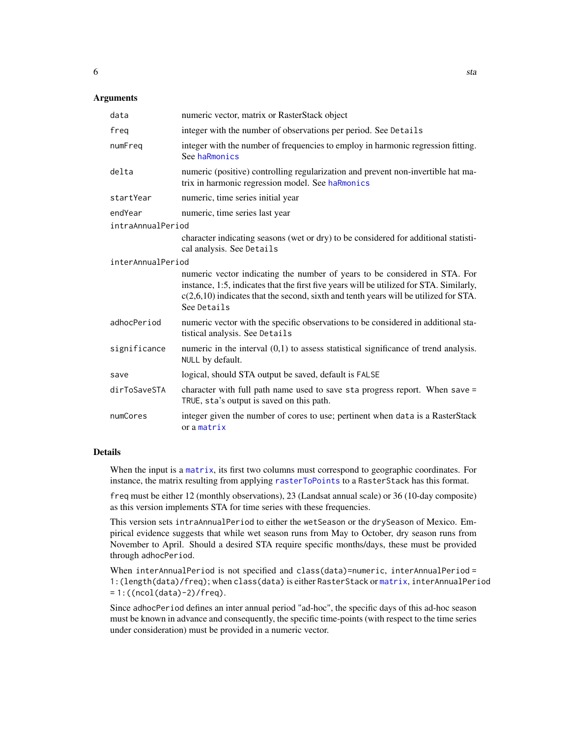#### <span id="page-5-0"></span>**Arguments**

| data              | numeric vector, matrix or RasterStack object                                                                                                                                                                                                                                   |
|-------------------|--------------------------------------------------------------------------------------------------------------------------------------------------------------------------------------------------------------------------------------------------------------------------------|
| freg              | integer with the number of observations per period. See Details                                                                                                                                                                                                                |
| numFreq           | integer with the number of frequencies to employ in harmonic regression fitting.<br>See haRmonics                                                                                                                                                                              |
| delta             | numeric (positive) controlling regularization and prevent non-invertible hat ma-<br>trix in harmonic regression model. See haRmonics                                                                                                                                           |
| startYear         | numeric, time series initial year                                                                                                                                                                                                                                              |
| endYear           | numeric, time series last year                                                                                                                                                                                                                                                 |
| intraAnnualPeriod |                                                                                                                                                                                                                                                                                |
|                   | character indicating seasons (wet or dry) to be considered for additional statisti-<br>cal analysis. See Details                                                                                                                                                               |
| interAnnualPeriod |                                                                                                                                                                                                                                                                                |
|                   | numeric vector indicating the number of years to be considered in STA. For<br>instance, 1:5, indicates that the first five years will be utilized for STA. Similarly,<br>$c(2,6,10)$ indicates that the second, sixth and tenth years will be utilized for STA.<br>See Details |
| adhocPeriod       | numeric vector with the specific observations to be considered in additional sta-<br>tistical analysis. See Details                                                                                                                                                            |
| significance      | numeric in the interval $(0,1)$ to assess statistical significance of trend analysis.<br>NULL by default.                                                                                                                                                                      |
| save              | logical, should STA output be saved, default is FALSE                                                                                                                                                                                                                          |
| dirToSaveSTA      | character with full path name used to save sta progress report. When save =<br>TRUE, sta's output is saved on this path.                                                                                                                                                       |
| numCores          | integer given the number of cores to use; pertinent when data is a RasterStack<br>or a matrix                                                                                                                                                                                  |

#### Details

When the input is a [matrix](#page-0-0), its first two columns must correspond to geographic coordinates. For instance, the matrix resulting from applying [rasterToPoints](#page-0-0) to a RasterStack has this format.

freq must be either 12 (monthly observations), 23 (Landsat annual scale) or 36 (10-day composite) as this version implements STA for time series with these frequencies.

This version sets intraAnnualPeriod to either the wetSeason or the drySeason of Mexico. Empirical evidence suggests that while wet season runs from May to October, dry season runs from November to April. Should a desired STA require specific months/days, these must be provided through adhocPeriod.

When interAnnualPeriod is not specified and class(data)=numeric, interAnnualPeriod = 1:(length(data)/freq); when class(data) is either RasterStack or [matrix](#page-0-0), interAnnualPeriod = 1:((ncol(data)-2)/freq).

Since adhocPeriod defines an inter annual period "ad-hoc", the specific days of this ad-hoc season must be known in advance and consequently, the specific time-points (with respect to the time series under consideration) must be provided in a numeric vector.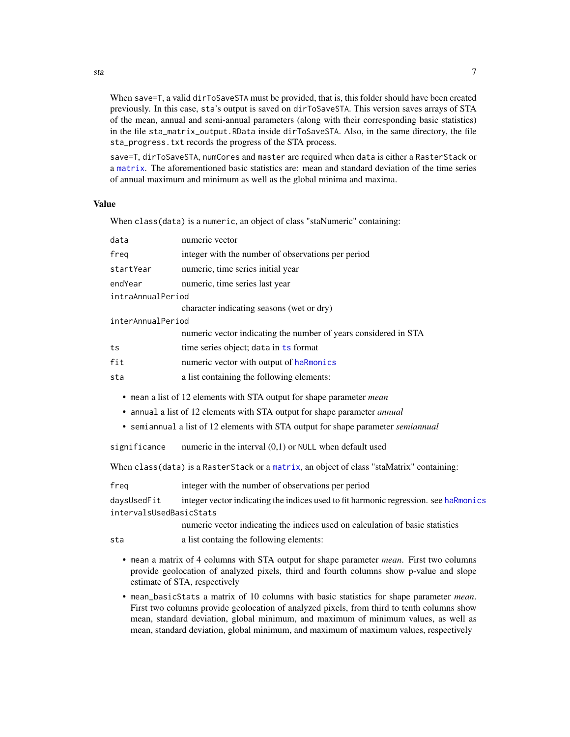When save=T, a valid dirToSaveSTA must be provided, that is, this folder should have been created previously. In this case, sta's output is saved on dirToSaveSTA. This version saves arrays of STA of the mean, annual and semi-annual parameters (along with their corresponding basic statistics) in the file sta\_matrix\_output.RData inside dirToSaveSTA. Also, in the same directory, the file sta\_progress.txt records the progress of the STA process.

save=T, dirToSaveSTA, numCores and master are required when data is either a RasterStack or a [matrix](#page-0-0). The aforementioned basic statistics are: mean and standard deviation of the time series of annual maximum and minimum as well as the global minima and maxima.

#### Value

When class(data) is a numeric, an object of class "staNumeric" containing:

| data                                   | numeric vector                                                                                                                                                                                                                                                                                                                                                                                                         |
|----------------------------------------|------------------------------------------------------------------------------------------------------------------------------------------------------------------------------------------------------------------------------------------------------------------------------------------------------------------------------------------------------------------------------------------------------------------------|
| freq                                   | integer with the number of observations per period                                                                                                                                                                                                                                                                                                                                                                     |
| startYear                              | numeric, time series initial year                                                                                                                                                                                                                                                                                                                                                                                      |
| endYear                                | numeric, time series last year                                                                                                                                                                                                                                                                                                                                                                                         |
| intraAnnualPeriod                      |                                                                                                                                                                                                                                                                                                                                                                                                                        |
|                                        | character indicating seasons (wet or dry)                                                                                                                                                                                                                                                                                                                                                                              |
| interAnnualPeriod                      |                                                                                                                                                                                                                                                                                                                                                                                                                        |
|                                        | numeric vector indicating the number of years considered in STA                                                                                                                                                                                                                                                                                                                                                        |
| ts                                     | time series object; data in ts format                                                                                                                                                                                                                                                                                                                                                                                  |
| fit                                    | numeric vector with output of haRmonics                                                                                                                                                                                                                                                                                                                                                                                |
| sta                                    | a list containing the following elements:                                                                                                                                                                                                                                                                                                                                                                              |
| significance                           | • mean a list of 12 elements with STA output for shape parameter <i>mean</i><br>• annual a list of 12 elements with STA output for shape parameter <i>annual</i><br>• semiannual a list of 12 elements with STA output for shape parameter <i>semiannual</i><br>numeric in the interval $(0,1)$ or NULL when default used<br>When class(data) is a RasterStack or a matrix, an object of class "staMatrix" containing: |
| frea                                   | integer with the number of observations per period                                                                                                                                                                                                                                                                                                                                                                     |
| daysUsedFit<br>intervalsUsedBasicStats | integer vector indicating the indices used to fit harmonic regression. see haRmonics                                                                                                                                                                                                                                                                                                                                   |
|                                        | numeric vector indicating the indices used on calculation of basic statistics                                                                                                                                                                                                                                                                                                                                          |
| sta                                    | a list containg the following elements:                                                                                                                                                                                                                                                                                                                                                                                |
|                                        | • mean a matrix of 4 columns with STA output for shape parameter <i>mean</i> . First two columns<br>provide geolocation of analyzed pixels, third and fourth columns show p-value and slope<br>estimate of STA, respectively                                                                                                                                                                                           |

• mean\_basicStats a matrix of 10 columns with basic statistics for shape parameter *mean*. First two columns provide geolocation of analyzed pixels, from third to tenth columns show mean, standard deviation, global minimum, and maximum of minimum values, as well as mean, standard deviation, global minimum, and maximum of maximum values, respectively

<span id="page-6-0"></span>sta and the state of the state of the state of the state of the state of the state of the state of the state of the state of the state of the state of the state of the state of the state of the state of the state of the st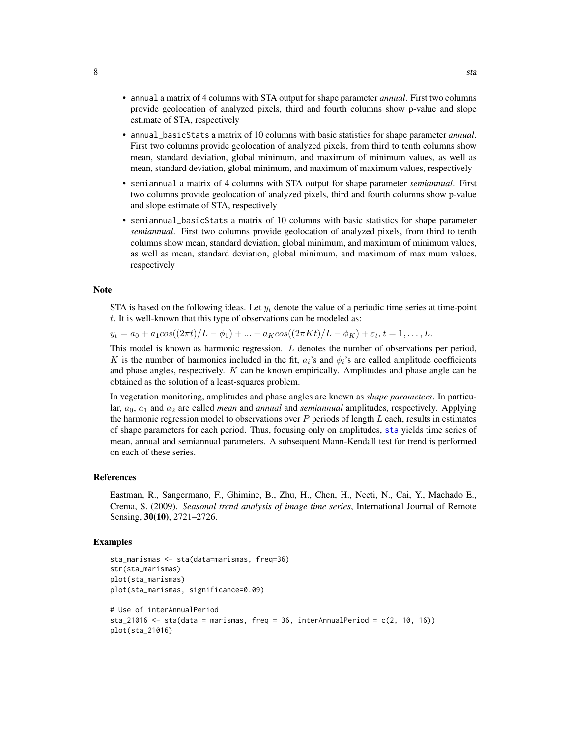- <span id="page-7-0"></span>• annual a matrix of 4 columns with STA output for shape parameter *annual*. First two columns provide geolocation of analyzed pixels, third and fourth columns show p-value and slope estimate of STA, respectively
- annual\_basicStats a matrix of 10 columns with basic statistics for shape parameter *annual*. First two columns provide geolocation of analyzed pixels, from third to tenth columns show mean, standard deviation, global minimum, and maximum of minimum values, as well as mean, standard deviation, global minimum, and maximum of maximum values, respectively
- semiannual a matrix of 4 columns with STA output for shape parameter *semiannual*. First two columns provide geolocation of analyzed pixels, third and fourth columns show p-value and slope estimate of STA, respectively
- semiannual\_basicStats a matrix of 10 columns with basic statistics for shape parameter *semiannual*. First two columns provide geolocation of analyzed pixels, from third to tenth columns show mean, standard deviation, global minimum, and maximum of minimum values, as well as mean, standard deviation, global minimum, and maximum of maximum values, respectively

#### Note

STA is based on the following ideas. Let  $y_t$  denote the value of a periodic time series at time-point  $t$ . It is well-known that this type of observations can be modeled as:

 $y_t = a_0 + a_1 cos((2\pi t)/L - \phi_1) + ... + a_K cos((2\pi Kt)/L - \phi_K) + \varepsilon_t, t = 1, ..., L.$ 

This model is known as harmonic regression.  $L$  denotes the number of observations per period, K is the number of harmonics included in the fit,  $a_i$ 's and  $\phi_i$ 's are called amplitude coefficients and phase angles, respectively. K can be known empirically. Amplitudes and phase angle can be obtained as the solution of a least-squares problem.

In vegetation monitoring, amplitudes and phase angles are known as *shape parameters*. In particular,  $a_0$ ,  $a_1$  and  $a_2$  are called *mean* and *annual* and *semiannual* amplitudes, respectively. Applying the harmonic regression model to observations over  $P$  periods of length  $L$  each, results in estimates of shape parameters for each period. Thus, focusing only on amplitudes, [sta](#page-4-1) yields time series of mean, annual and semiannual parameters. A subsequent Mann-Kendall test for trend is performed on each of these series.

#### References

Eastman, R., Sangermano, F., Ghimine, B., Zhu, H., Chen, H., Neeti, N., Cai, Y., Machado E., Crema, S. (2009). *Seasonal trend analysis of image time series*, International Journal of Remote Sensing, 30(10), 2721–2726.

#### Examples

```
sta_marismas <- sta(data=marismas, freq=36)
str(sta_marismas)
plot(sta_marismas)
plot(sta_marismas, significance=0.09)
# Use of interAnnualPeriod
sta_21016 \le sta(data = marismas, freq = 36, interAnnualPeriod = c(2, 10, 16))
plot(sta_21016)
```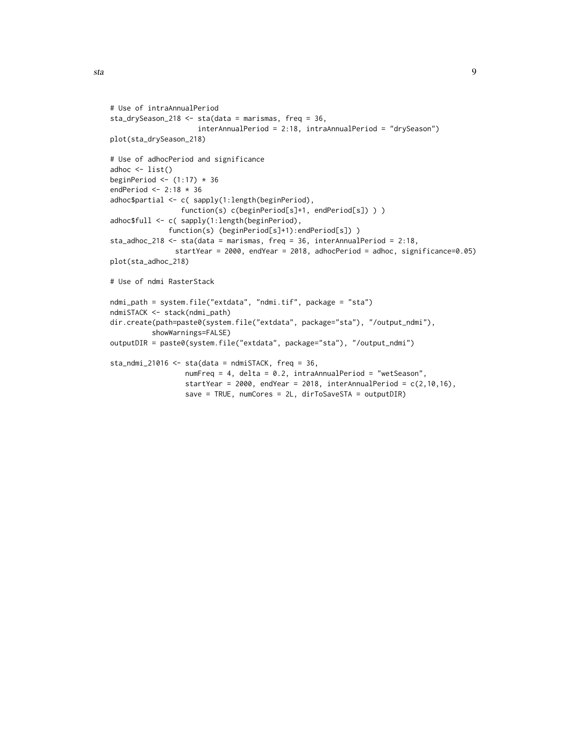```
# Use of intraAnnualPeriod
sta_drySeason_218 <- sta(data = marismas, freq = 36,
                     interAnnualPeriod = 2:18, intraAnnualPeriod = "drySeason")
plot(sta_drySeason_218)
# Use of adhocPeriod and significance
adhoc \le list()
beginPeriod \leftarrow (1:17) \star 36
endPeriod <- 2:18 * 36
adhoc$partial <- c( sapply(1:length(beginPeriod),
                 function(s) c(beginPeriod[s]+1, endPeriod[s]) ) )
adhoc$full <- c( sapply(1:length(beginPeriod),
              function(s) (beginPeriod[s]+1):endPeriod[s]) )
sta_adhoc_218 <- sta(data = marismas, freq = 36, interAnnualPeriod = 2:18,
               startYear = 2000, endYear = 2018, adhocPeriod = adhoc, significance=0.05)
plot(sta_adhoc_218)
# Use of ndmi RasterStack
ndmi_path = system.file("extdata", "ndmi.tif", package = "sta")
ndmiSTACK <- stack(ndmi_path)
dir.create(path=paste0(system.file("extdata", package="sta"), "/output_ndmi"),
          showWarnings=FALSE)
outputDIR = paste0(system.file("extdata", package="sta"), "/output_ndmi")
sta\_ndmi\_21016 \leq sta(data = ndmiSTACK, freq = 36,numFreq = 4, delta = 0.2, intraAnnualPeriod = "wetSeason",
                  startYear = 2000, endYear = 2018, interAnnualPeriod = c(2,10,16),
                  save = TRUE, numCores = 2L, dirToSaveSTA = outputDIR)
```